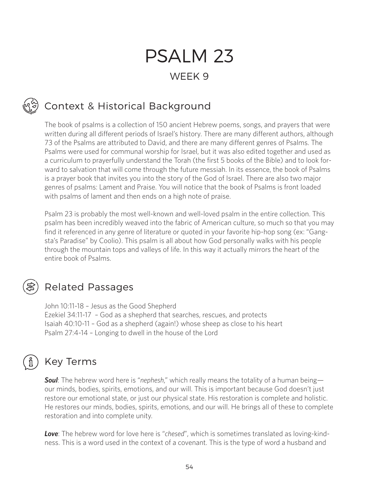# PSALM 23 WEEK 9

## Context & Historical Background

The book of psalms is a collection of 150 ancient Hebrew poems, songs, and prayers that were written during all different periods of Israel's history. There are many different authors, although 73 of the Psalms are attributed to David, and there are many different genres of Psalms. The Psalms were used for communal worship for Israel, but it was also edited together and used as a curriculum to prayerfully understand the Torah (the first 5 books of the Bible) and to look forward to salvation that will come through the future messiah. In its essence, the book of Psalms is a prayer book that invites you into the story of the God of Israel. There are also two major genres of psalms: Lament and Praise. You will notice that the book of Psalms is front loaded with psalms of lament and then ends on a high note of praise.

Psalm 23 is probably the most well-known and well-loved psalm in the entire collection. This psalm has been incredibly weaved into the fabric of American culture, so much so that you may find it referenced in any genre of literature or quoted in your favorite hip-hop song (ex: "Gangsta's Paradise" by Coolio). This psalm is all about how God personally walks with his people through the mountain tops and valleys of life. In this way it actually mirrors the heart of the entire book of Psalms.



#### Related Passages

John 10:11-18 – Jesus as the Good Shepherd Ezekiel 34:11-17 – God as a shepherd that searches, rescues, and protects Isaiah 40:10-11 – God as a shepherd (again!) whose sheep as close to his heart Psalm 27:4-14 – Longing to dwell in the house of the Lord

#### Key Terms

*Soul*: The hebrew word here is "*nephesh*," which really means the totality of a human being our minds, bodies, spirits, emotions, and our will. This is important because God doesn't just restore our emotional state, or just our physical state. His restoration is complete and holistic. He restores our minds, bodies, spirits, emotions, and our will. He brings all of these to complete restoration and into complete unity.

*Love*: The hebrew word for love here is "*chesed*", which is sometimes translated as loving-kindness. This is a word used in the context of a covenant. This is the type of word a husband and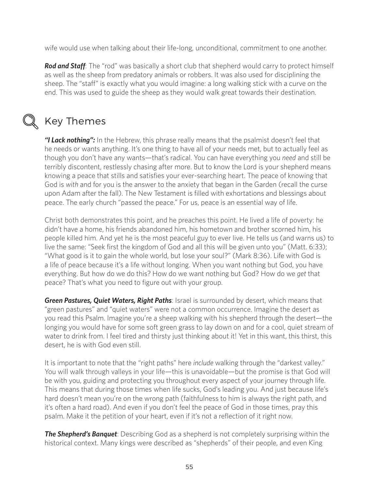wife would use when talking about their life-long, unconditional, commitment to one another.

*Rod and Staff*: The "rod" was basically a short club that shepherd would carry to protect himself as well as the sheep from predatory animals or robbers. It was also used for disciplining the sheep. The "staff" is exactly what you would imagine: a long walking stick with a curve on the end. This was used to guide the sheep as they would walk great towards their destination.



#### Key Themes

*"I Lack nothing":* In the Hebrew, this phrase really means that the psalmist doesn't feel that he needs or wants anything. It's one thing to have all of your needs met, but to actually feel as though you don't have any wants—that's radical. You can have everything you *need* and still be terribly discontent, restlessly chasing after more. But to know the Lord is your shepherd means knowing a peace that stills and satisfies your ever-searching heart. The peace of knowing that God is *with* and for you is the answer to the anxiety that began in the Garden (recall the curse upon Adam after the fall). The New Testament is filled with exhortations and blessings about peace. The early church "passed the peace." For us, peace is an essential way of life.

Christ both demonstrates this point, and he preaches this point. He lived a life of poverty: he didn't have a home, his friends abandoned him, his hometown and brother scorned him, his people killed him. And yet he is the most peaceful guy to ever live. He tells us (and warns us) to live the same: "Seek first the kingdom of God and all this will be given unto you" (Matt. 6:33); "What good is it to gain the whole world, but lose your soul?" (Mark 8:36). Life with God is a life of peace because it's a life without longing. When you want nothing but God, you have everything. But how do we do this? How do we want nothing but God? How do we *get* that peace? That's what you need to figure out with your group.

*Green Pastures, Quiet Waters, Right Paths*: Israel is surrounded by desert, which means that "green pastures" and "quiet waters" were not a common occurrence. Imagine the desert as you read this Psalm. Imagine you're a sheep walking with his shepherd through the desert—the longing you would have for some soft green grass to lay down on and for a cool, quiet stream of water to drink from. I feel tired and thirsty just thinking about it! Yet in this want, this thirst, this desert, he is with God even still.

It is important to note that the "right paths" here *include* walking through the "darkest valley." You will walk through valleys in your life—this is unavoidable—but the promise is that God will be with you, guiding and protecting you throughout every aspect of your journey through life. This means that during those times when life sucks, God's leading you. And just because life's hard doesn't mean you're on the wrong path (faithfulness to him is always the right path, and it's often a hard road). And even if you don't feel the peace of God in those times, pray this psalm. Make it the petition of your heart, even if it's not a reflection of it right now.

*The Shepherd's Banquet*: Describing God as a shepherd is not completely surprising within the historical context. Many kings were described as "shepherds" of their people, and even King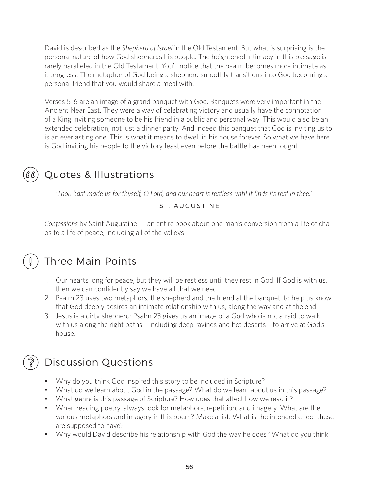David is described as the *Shepherd of Israel* in the Old Testament. But what is surprising is the personal nature of how God shepherds his people. The heightened intimacy in this passage is rarely paralleled in the Old Testament. You'll notice that the psalm becomes more intimate as it progress. The metaphor of God being a shepherd smoothly transitions into God becoming a personal friend that you would share a meal with.

Verses 5-6 are an image of a grand banquet with God. Banquets were very important in the Ancient Near East. They were a way of celebrating victory and usually have the connotation of a King inviting someone to be his friend in a public and personal way. This would also be an extended celebration, not just a dinner party. And indeed this banquet that God is inviting us to is an everlasting one. This is what it means to dwell in his house forever. So what we have here is God inviting his people to the victory feast even before the battle has been fought.

#### Quotes & Illustrations

*'Thou hast made us for thyself, O Lord, and our heart is restless until it finds its rest in thee.'*

#### ST. AUGUSTINE

*Confessions* by Saint Augustine — an entire book about one man's conversion from a life of chaos to a life of peace, including all of the valleys.



#### Three Main Points

- 1. Our hearts long for peace, but they will be restless until they rest in God. If God is with us, then we can confidently say we have all that we need.
- 2. Psalm 23 uses two metaphors, the shepherd and the friend at the banquet, to help us know that God deeply desires an intimate relationship with us, along the way and at the end.
- 3. Jesus is a dirty shepherd: Psalm 23 gives us an image of a God who is not afraid to walk with us along the right paths—including deep ravines and hot deserts—to arrive at God's house.

#### Discussion Questions

- Why do you think God inspired this story to be included in Scripture?
- What do we learn about God in the passage? What do we learn about us in this passage?
- What genre is this passage of Scripture? How does that affect how we read it?
- When reading poetry, always look for metaphors, repetition, and imagery. What are the various metaphors and imagery in this poem? Make a list. What is the intended effect these are supposed to have?
- Why would David describe his relationship with God the way he does? What do you think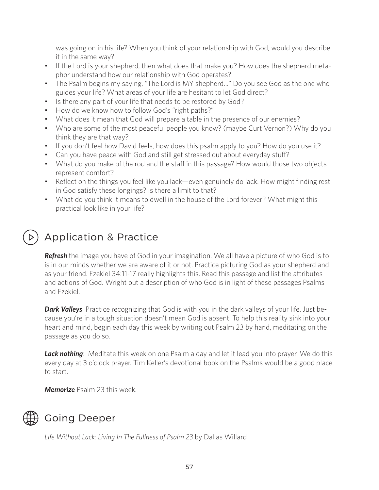was going on in his life? When you think of your relationship with God, would you describe it in the same way?

- If the Lord is your shepherd, then what does that make you? How does the shepherd metaphor understand how our relationship with God operates?
- The Psalm begins my saying, "The Lord is MY shepherd..." Do you see God as the one who guides your life? What areas of your life are hesitant to let God direct?
- Is there any part of your life that needs to be restored by God?
- How do we know how to follow God's "right paths?"
- What does it mean that God will prepare a table in the presence of our enemies?
- Who are some of the most peaceful people you know? (maybe Curt Vernon?) Why do you think they are that way?
- If you don't feel how David feels, how does this psalm apply to you? How do you use it?
- Can you have peace with God and still get stressed out about everyday stuff?
- What do you make of the rod and the staff in this passage? How would those two objects represent comfort?
- Reflect on the things you feel like you lack—even genuinely do lack. How might finding rest in God satisfy these longings? Is there a limit to that?
- What do you think it means to dwell in the house of the Lord forever? What might this practical look like in your life?

## Application & Practice

*Refresh* the image you have of God in your imagination. We all have a picture of who God is to is in our minds whether we are aware of it or not. Practice picturing God as your shepherd and as your friend. Ezekiel 34:11-17 really highlights this. Read this passage and list the attributes and actions of God. Wright out a description of who God is in light of these passages Psalms and Ezekiel.

**Dark Valleys**: Practice recognizing that God is with you in the dark valleys of your life. Just because you're in a tough situation doesn't mean God is absent. To help this reality sink into your heart and mind, begin each day this week by writing out Psalm 23 by hand, meditating on the passage as you do so.

**Lack nothing**: Meditate this week on one Psalm a day and let it lead you into prayer. We do this every day at 3 o'clock prayer. Tim Keller's devotional book on the Psalms would be a good place to start.

*Memorize* Psalm 23 this week.



#### Going Deeper

*Life Without Lack: Living In The Fullness of Psalm 23* by Dallas Willard